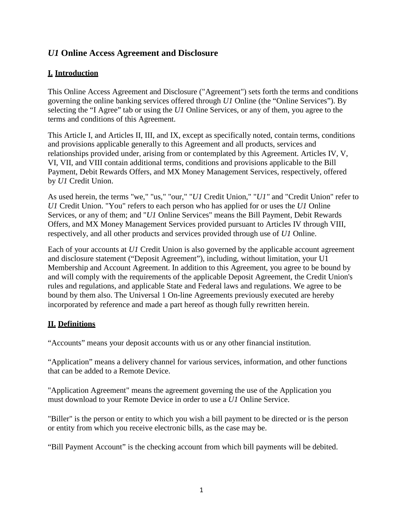# *U1* **Online Access Agreement and Disclosure**

# **I. Introduction**

This Online Access Agreement and Disclosure ("Agreement") sets forth the terms and conditions governing the online banking services offered through *U1* Online (the "Online Services"). By selecting the "I Agree" tab or using the *U1* Online Services, or any of them, you agree to the terms and conditions of this Agreement.

This Article I, and Articles II, III, and IX, except as specifically noted, contain terms, conditions and provisions applicable generally to this Agreement and all products, services and relationships provided under, arising from or contemplated by this Agreement. Articles IV, V, VI, VII, and VIII contain additional terms, conditions and provisions applicable to the Bill Payment, Debit Rewards Offers, and MX Money Management Services, respectively, offered by *U1* Credit Union.

As used herein, the terms "we," "us," "our," "*U1* Credit Union," "*U1"* and "Credit Union" refer to *U1* Credit Union. "You" refers to each person who has applied for or uses the *U1* Online Services, or any of them; and "*U1* Online Services" means the Bill Payment, Debit Rewards Offers, and MX Money Management Services provided pursuant to Articles IV through VIII, respectively, and all other products and services provided through use of *U1* Online.

Each of your accounts at *U1* Credit Union is also governed by the applicable account agreement and disclosure statement ("Deposit Agreement"), including, without limitation, your U1 Membership and Account Agreement. In addition to this Agreement, you agree to be bound by and will comply with the requirements of the applicable Deposit Agreement, the Credit Union's rules and regulations, and applicable State and Federal laws and regulations. We agree to be bound by them also. The Universal 1 On-line Agreements previously executed are hereby incorporated by reference and made a part hereof as though fully rewritten herein.

# **II. Definitions**

"Accounts" means your deposit accounts with us or any other financial institution.

"Application" means a delivery channel for various services, information, and other functions that can be added to a Remote Device.

"Application Agreement" means the agreement governing the use of the Application you must download to your Remote Device in order to use a *U1* Online Service.

"Biller" is the person or entity to which you wish a bill payment to be directed or is the person or entity from which you receive electronic bills, as the case may be.

"Bill Payment Account" is the checking account from which bill payments will be debited.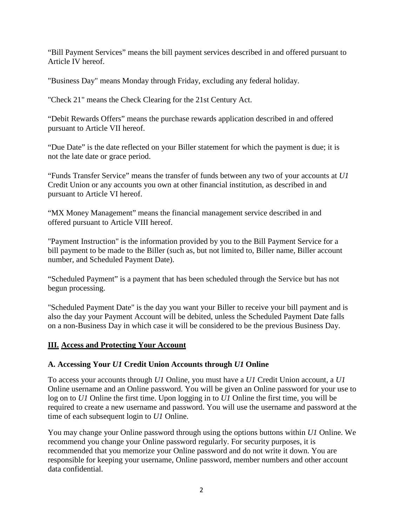"Bill Payment Services" means the bill payment services described in and offered pursuant to Article IV hereof.

"Business Day" means Monday through Friday, excluding any federal holiday.

"Check 21" means the Check Clearing for the 21st Century Act.

"Debit Rewards Offers" means the purchase rewards application described in and offered pursuant to Article VII hereof.

"Due Date" is the date reflected on your Biller statement for which the payment is due; it is not the late date or grace period.

"Funds Transfer Service" means the transfer of funds between any two of your accounts at *U1*  Credit Union or any accounts you own at other financial institution, as described in and pursuant to Article VI hereof.

"MX Money Management" means the financial management service described in and offered pursuant to Article VIII hereof.

"Payment Instruction" is the information provided by you to the Bill Payment Service for a bill payment to be made to the Biller (such as, but not limited to, Biller name, Biller account number, and Scheduled Payment Date).

"Scheduled Payment" is a payment that has been scheduled through the Service but has not begun processing.

"Scheduled Payment Date" is the day you want your Biller to receive your bill payment and is also the day your Payment Account will be debited, unless the Scheduled Payment Date falls on a non-Business Day in which case it will be considered to be the previous Business Day.

### **III. Access and Protecting Your Account**

# **A. Accessing Your** *U1* **Credit Union Accounts through** *U1* **Online**

To access your accounts through *U1* Online, you must have a *U1* Credit Union account, a *U1*  Online username and an Online password. You will be given an Online password for your use to log on to *U1* Online the first time. Upon logging in to *U1* Online the first time, you will be required to create a new username and password. You will use the username and password at the time of each subsequent login to *U1* Online.

You may change your Online password through using the options buttons within *U1* Online. We recommend you change your Online password regularly. For security purposes, it is recommended that you memorize your Online password and do not write it down. You are responsible for keeping your username, Online password, member numbers and other account data confidential.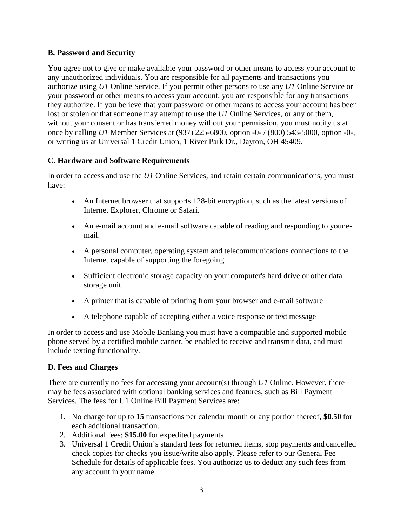### **B. Password and Security**

You agree not to give or make available your password or other means to access your account to any unauthorized individuals. You are responsible for all payments and transactions you authorize using *U1* Online Service. If you permit other persons to use any *U1* Online Service or your password or other means to access your account, you are responsible for any transactions they authorize. If you believe that your password or other means to access your account has been lost or stolen or that someone may attempt to use the *U1* Online Services, or any of them, without your consent or has transferred money without your permission, you must notify us at once by calling *U1* Member Services at (937) 225-6800, option -0- / (800) 543-5000, option -0-, or writing us at Universal 1 Credit Union, 1 River Park Dr., Dayton, OH 45409.

## **C. Hardware and Software Requirements**

In order to access and use the *U1* Online Services, and retain certain communications, you must have:

- An Internet browser that supports 128-bit encryption, such as the latest versions of Internet Explorer, Chrome or Safari.
- An e-mail account and e-mail software capable of reading and responding to your email.
- A personal computer, operating system and telecommunications connections to the Internet capable of supporting the foregoing.
- Sufficient electronic storage capacity on your computer's hard drive or other data storage unit.
- A printer that is capable of printing from your browser and e-mail software
- A telephone capable of accepting either a voice response or text message

In order to access and use Mobile Banking you must have a compatible and supported mobile phone served by a certified mobile carrier, be enabled to receive and transmit data, and must include texting functionality.

### **D. Fees and Charges**

There are currently no fees for accessing your account(s) through *U1* Online. However, there may be fees associated with optional banking services and features, such as Bill Payment Services. The fees for U1 Online Bill Payment Services are:

- 1. No charge for up to **15** transactions per calendar month or any portion thereof, **\$0.50** for each additional transaction.
- 2. Additional fees; **\$15.00** for expedited payments
- 3. Universal 1 Credit Union's standard fees for returned items, stop payments and cancelled check copies for checks you issue/write also apply. Please refer to our General Fee Schedule for details of applicable fees. You authorize us to deduct any such fees from any account in your name.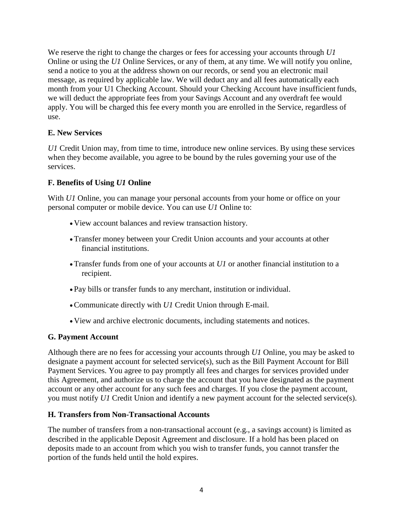We reserve the right to change the charges or fees for accessing your accounts through *U1*  Online or using the *U1* Online Services, or any of them, at any time. We will notify you online, send a notice to you at the address shown on our records, or send you an electronic mail message, as required by applicable law. We will deduct any and all fees automatically each month from your U1 Checking Account. Should your Checking Account have insufficient funds, we will deduct the appropriate fees from your Savings Account and any overdraft fee would apply. You will be charged this fee every month you are enrolled in the Service, regardless of use.

### **E. New Services**

*U1* Credit Union may, from time to time, introduce new online services. By using these services when they become available, you agree to be bound by the rules governing your use of the services.

### **F. Benefits of Using** *U1* **Online**

With *U1* Online, you can manage your personal accounts from your home or office on your personal computer or mobile device. You can use *U1* Online to:

- View account balances and review transaction history.
- Transfer money between your Credit Union accounts and your accounts at other financial institutions.
- Transfer funds from one of your accounts at *U1* or another financial institution to a recipient.
- Pay bills or transfer funds to any merchant, institution or individual.
- •Communicate directly with *U1* Credit Union through E-mail.
- View and archive electronic documents, including statements and notices.

### **G. Payment Account**

Although there are no fees for accessing your accounts through *U1* Online, you may be asked to designate a payment account for selected service(s), such as the Bill Payment Account for Bill Payment Services. You agree to pay promptly all fees and charges for services provided under this Agreement, and authorize us to charge the account that you have designated as the payment account or any other account for any such fees and charges. If you close the payment account, you must notify *U1* Credit Union and identify a new payment account for the selected service(s).

### **H. Transfers from Non-Transactional Accounts**

The number of transfers from a non-transactional account (e.g., a savings account) is limited as described in the applicable Deposit Agreement and disclosure. If a hold has been placed on deposits made to an account from which you wish to transfer funds, you cannot transfer the portion of the funds held until the hold expires.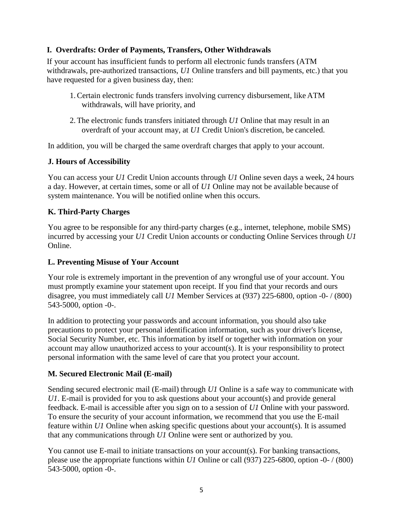## **I. Overdrafts: Order of Payments, Transfers, Other Withdrawals**

If your account has insufficient funds to perform all electronic funds transfers (ATM withdrawals, pre-authorized transactions, *U1* Online transfers and bill payments, etc.) that you have requested for a given business day, then:

- 1.Certain electronic funds transfers involving currency disbursement, like ATM withdrawals, will have priority, and
- 2.The electronic funds transfers initiated through *U1* Online that may result in an overdraft of your account may, at *U1* Credit Union's discretion, be canceled.

In addition, you will be charged the same overdraft charges that apply to your account.

### **J. Hours of Accessibility**

You can access your *U1* Credit Union accounts through *U1* Online seven days a week, 24 hours a day. However, at certain times, some or all of *U1* Online may not be available because of system maintenance. You will be notified online when this occurs.

## **K. Third-Party Charges**

You agree to be responsible for any third-party charges (e.g., internet, telephone, mobile SMS) incurred by accessing your *U1* Credit Union accounts or conducting Online Services through *U1*  Online.

### **L. Preventing Misuse of Your Account**

Your role is extremely important in the prevention of any wrongful use of your account. You must promptly examine your statement upon receipt. If you find that your records and ours disagree, you must immediately call *U1* Member Services at (937) 225-6800, option -0- / (800) 543-5000, option -0-.

In addition to protecting your passwords and account information, you should also take precautions to protect your personal identification information, such as your driver's license, Social Security Number, etc. This information by itself or together with information on your account may allow unauthorized access to your account(s). It is your responsibility to protect personal information with the same level of care that you protect your account.

### **M. Secured Electronic Mail (E-mail)**

Sending secured electronic mail (E-mail) through *U1* Online is a safe way to communicate with *U1*. E-mail is provided for you to ask questions about your account(s) and provide general feedback. E-mail is accessible after you sign on to a session of *U1* Online with your password. To ensure the security of your account information, we recommend that you use the E-mail feature within *U1* Online when asking specific questions about your account(s). It is assumed that any communications through *U1* Online were sent or authorized by you.

You cannot use E-mail to initiate transactions on your account(s). For banking transactions, please use the appropriate functions within *U1* Online or call (937) 225-6800, option -0- / (800) 543-5000, option -0-.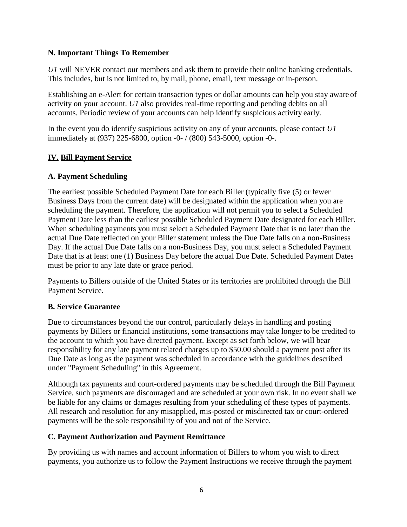### **N. Important Things To Remember**

*U1* will NEVER contact our members and ask them to provide their online banking credentials. This includes, but is not limited to, by mail, phone, email, text message or in-person.

Establishing an e-Alert for certain transaction types or dollar amounts can help you stay aware of activity on your account. *U1* also provides real-time reporting and pending debits on all accounts. Periodic review of your accounts can help identify suspicious activity early.

In the event you do identify suspicious activity on any of your accounts, please contact *U1* immediately at (937) 225-6800, option -0- / (800) 543-5000, option -0-.

# **IV. Bill Payment Service**

# **A. Payment Scheduling**

The earliest possible Scheduled Payment Date for each Biller (typically five (5) or fewer Business Days from the current date) will be designated within the application when you are scheduling the payment. Therefore, the application will not permit you to select a Scheduled Payment Date less than the earliest possible Scheduled Payment Date designated for each Biller. When scheduling payments you must select a Scheduled Payment Date that is no later than the actual Due Date reflected on your Biller statement unless the Due Date falls on a non-Business Day. If the actual Due Date falls on a non-Business Day, you must select a Scheduled Payment Date that is at least one (1) Business Day before the actual Due Date. Scheduled Payment Dates must be prior to any late date or grace period.

Payments to Billers outside of the United States or its territories are prohibited through the Bill Payment Service.

# **B. Service Guarantee**

Due to circumstances beyond the our control, particularly delays in handling and posting payments by Billers or financial institutions, some transactions may take longer to be credited to the account to which you have directed payment. Except as set forth below, we will bear responsibility for any late payment related charges up to \$50.00 should a payment post after its Due Date as long as the payment was scheduled in accordance with the guidelines described under "Payment Scheduling" in this Agreement.

Although tax payments and court-ordered payments may be scheduled through the Bill Payment Service, such payments are discouraged and are scheduled at your own risk. In no event shall we be liable for any claims or damages resulting from your scheduling of these types of payments. All research and resolution for any misapplied, mis-posted or misdirected tax or court-ordered payments will be the sole responsibility of you and not of the Service.

# **C. Payment Authorization and Payment Remittance**

By providing us with names and account information of Billers to whom you wish to direct payments, you authorize us to follow the Payment Instructions we receive through the payment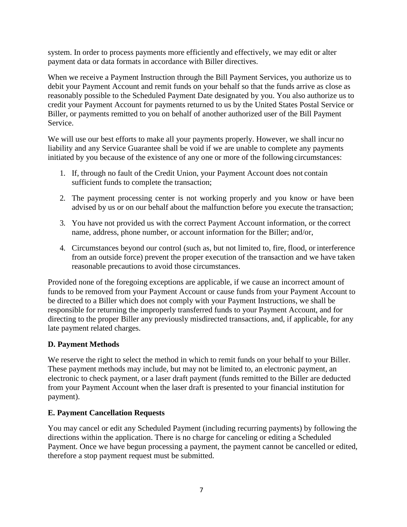system. In order to process payments more efficiently and effectively, we may edit or alter payment data or data formats in accordance with Biller directives.

When we receive a Payment Instruction through the Bill Payment Services, you authorize us to debit your Payment Account and remit funds on your behalf so that the funds arrive as close as reasonably possible to the Scheduled Payment Date designated by you. You also authorize us to credit your Payment Account for payments returned to us by the United States Postal Service or Biller, or payments remitted to you on behalf of another authorized user of the Bill Payment Service.

We will use our best efforts to make all your payments properly. However, we shall incur no liability and any Service Guarantee shall be void if we are unable to complete any payments initiated by you because of the existence of any one or more of the following circumstances:

- 1. If, through no fault of the Credit Union, your Payment Account does not contain sufficient funds to complete the transaction;
- 2. The payment processing center is not working properly and you know or have been advised by us or on our behalf about the malfunction before you execute the transaction;
- 3. You have not provided us with the correct Payment Account information, or the correct name, address, phone number, or account information for the Biller; and/or,
- 4. Circumstances beyond our control (such as, but not limited to, fire, flood, or interference from an outside force) prevent the proper execution of the transaction and we have taken reasonable precautions to avoid those circumstances.

Provided none of the foregoing exceptions are applicable, if we cause an incorrect amount of funds to be removed from your Payment Account or cause funds from your Payment Account to be directed to a Biller which does not comply with your Payment Instructions, we shall be responsible for returning the improperly transferred funds to your Payment Account, and for directing to the proper Biller any previously misdirected transactions, and, if applicable, for any late payment related charges.

### **D. Payment Methods**

We reserve the right to select the method in which to remit funds on your behalf to your Biller. These payment methods may include, but may not be limited to, an electronic payment, an electronic to check payment, or a laser draft payment (funds remitted to the Biller are deducted from your Payment Account when the laser draft is presented to your financial institution for payment).

### **E. Payment Cancellation Requests**

You may cancel or edit any Scheduled Payment (including recurring payments) by following the directions within the application. There is no charge for canceling or editing a Scheduled Payment. Once we have begun processing a payment, the payment cannot be cancelled or edited, therefore a stop payment request must be submitted.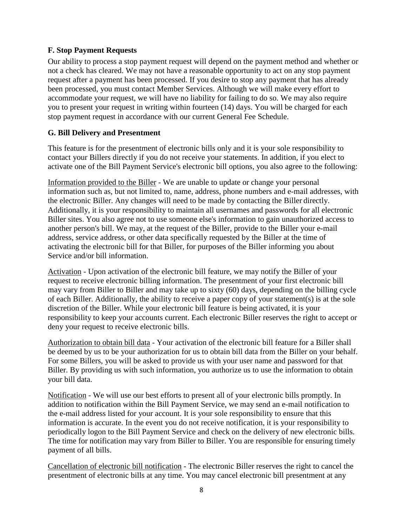### **F. Stop Payment Requests**

Our ability to process a stop payment request will depend on the payment method and whether or not a check has cleared. We may not have a reasonable opportunity to act on any stop payment request after a payment has been processed. If you desire to stop any payment that has already been processed, you must contact Member Services. Although we will make every effort to accommodate your request, we will have no liability for failing to do so. We may also require you to present your request in writing within fourteen (14) days. You will be charged for each stop payment request in accordance with our current General Fee Schedule.

## **G. Bill Delivery and Presentment**

This feature is for the presentment of electronic bills only and it is your sole responsibility to contact your Billers directly if you do not receive your statements. In addition, if you elect to activate one of the Bill Payment Service's electronic bill options, you also agree to the following:

Information provided to the Biller - We are unable to update or change your personal information such as, but not limited to, name, address, phone numbers and e-mail addresses, with the electronic Biller. Any changes will need to be made by contacting the Biller directly. Additionally, it is your responsibility to maintain all usernames and passwords for all electronic Biller sites. You also agree not to use someone else's information to gain unauthorized access to another person's bill. We may, at the request of the Biller, provide to the Biller your e-mail address, service address, or other data specifically requested by the Biller at the time of activating the electronic bill for that Biller, for purposes of the Biller informing you about Service and/or bill information.

Activation - Upon activation of the electronic bill feature, we may notify the Biller of your request to receive electronic billing information. The presentment of your first electronic bill may vary from Biller to Biller and may take up to sixty (60) days, depending on the billing cycle of each Biller. Additionally, the ability to receive a paper copy of your statement(s) is at the sole discretion of the Biller. While your electronic bill feature is being activated, it is your responsibility to keep your accounts current. Each electronic Biller reserves the right to accept or deny your request to receive electronic bills.

Authorization to obtain bill data - Your activation of the electronic bill feature for a Biller shall be deemed by us to be your authorization for us to obtain bill data from the Biller on your behalf. For some Billers, you will be asked to provide us with your user name and password for that Biller. By providing us with such information, you authorize us to use the information to obtain your bill data.

Notification - We will use our best efforts to present all of your electronic bills promptly. In addition to notification within the Bill Payment Service, we may send an e-mail notification to the e-mail address listed for your account. It is your sole responsibility to ensure that this information is accurate. In the event you do not receive notification, it is your responsibility to periodically logon to the Bill Payment Service and check on the delivery of new electronic bills. The time for notification may vary from Biller to Biller. You are responsible for ensuring timely payment of all bills.

Cancellation of electronic bill notification - The electronic Biller reserves the right to cancel the presentment of electronic bills at any time. You may cancel electronic bill presentment at any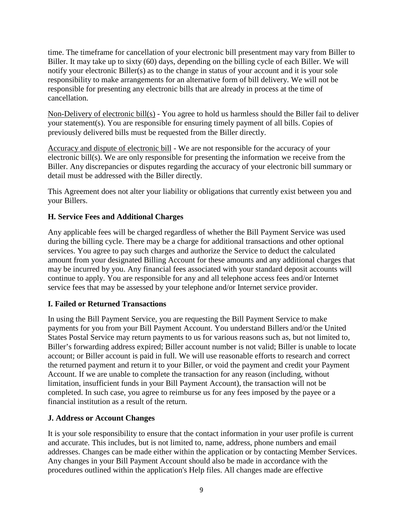time. The timeframe for cancellation of your electronic bill presentment may vary from Biller to Biller. It may take up to sixty (60) days, depending on the billing cycle of each Biller. We will notify your electronic Biller(s) as to the change in status of your account and it is your sole responsibility to make arrangements for an alternative form of bill delivery. We will not be responsible for presenting any electronic bills that are already in process at the time of cancellation.

Non-Delivery of electronic bill(s) - You agree to hold us harmless should the Biller fail to deliver your statement(s). You are responsible for ensuring timely payment of all bills. Copies of previously delivered bills must be requested from the Biller directly.

Accuracy and dispute of electronic bill - We are not responsible for the accuracy of your electronic bill(s). We are only responsible for presenting the information we receive from the Biller. Any discrepancies or disputes regarding the accuracy of your electronic bill summary or detail must be addressed with the Biller directly.

This Agreement does not alter your liability or obligations that currently exist between you and your Billers.

## **H. Service Fees and Additional Charges**

Any applicable fees will be charged regardless of whether the Bill Payment Service was used during the billing cycle. There may be a charge for additional transactions and other optional services. You agree to pay such charges and authorize the Service to deduct the calculated amount from your designated Billing Account for these amounts and any additional charges that may be incurred by you. Any financial fees associated with your standard deposit accounts will continue to apply. You are responsible for any and all telephone access fees and/or Internet service fees that may be assessed by your telephone and/or Internet service provider.

### **I. Failed or Returned Transactions**

In using the Bill Payment Service, you are requesting the Bill Payment Service to make payments for you from your Bill Payment Account. You understand Billers and/or the United States Postal Service may return payments to us for various reasons such as, but not limited to, Biller's forwarding address expired; Biller account number is not valid; Biller is unable to locate account; or Biller account is paid in full. We will use reasonable efforts to research and correct the returned payment and return it to your Biller, or void the payment and credit your Payment Account. If we are unable to complete the transaction for any reason (including, without limitation, insufficient funds in your Bill Payment Account), the transaction will not be completed. In such case, you agree to reimburse us for any fees imposed by the payee or a financial institution as a result of the return.

### **J. Address or Account Changes**

It is your sole responsibility to ensure that the contact information in your user profile is current and accurate. This includes, but is not limited to, name, address, phone numbers and email addresses. Changes can be made either within the application or by contacting Member Services. Any changes in your Bill Payment Account should also be made in accordance with the procedures outlined within the application's Help files. All changes made are effective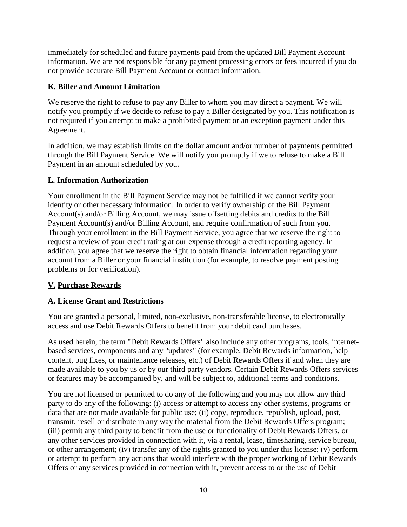immediately for scheduled and future payments paid from the updated Bill Payment Account information. We are not responsible for any payment processing errors or fees incurred if you do not provide accurate Bill Payment Account or contact information.

## **K. Biller and Amount Limitation**

We reserve the right to refuse to pay any Biller to whom you may direct a payment. We will notify you promptly if we decide to refuse to pay a Biller designated by you. This notification is not required if you attempt to make a prohibited payment or an exception payment under this Agreement.

In addition, we may establish limits on the dollar amount and/or number of payments permitted through the Bill Payment Service. We will notify you promptly if we to refuse to make a Bill Payment in an amount scheduled by you.

## **L. Information Authorization**

Your enrollment in the Bill Payment Service may not be fulfilled if we cannot verify your identity or other necessary information. In order to verify ownership of the Bill Payment Account(s) and/or Billing Account, we may issue offsetting debits and credits to the Bill Payment Account(s) and/or Billing Account, and require confirmation of such from you. Through your enrollment in the Bill Payment Service, you agree that we reserve the right to request a review of your credit rating at our expense through a credit reporting agency. In addition, you agree that we reserve the right to obtain financial information regarding your account from a Biller or your financial institution (for example, to resolve payment posting problems or for verification).

# **V. Purchase Rewards**

### **A. License Grant and Restrictions**

You are granted a personal, limited, non-exclusive, non-transferable license, to electronically access and use Debit Rewards Offers to benefit from your debit card purchases.

As used herein, the term "Debit Rewards Offers" also include any other programs, tools, internetbased services, components and any "updates" (for example, Debit Rewards information, help content, bug fixes, or maintenance releases, etc.) of Debit Rewards Offers if and when they are made available to you by us or by our third party vendors. Certain Debit Rewards Offers services or features may be accompanied by, and will be subject to, additional terms and conditions.

You are not licensed or permitted to do any of the following and you may not allow any third party to do any of the following: (i) access or attempt to access any other systems, programs or data that are not made available for public use; (ii) copy, reproduce, republish, upload, post, transmit, resell or distribute in any way the material from the Debit Rewards Offers program; (iii) permit any third party to benefit from the use or functionality of Debit Rewards Offers, or any other services provided in connection with it, via a rental, lease, timesharing, service bureau, or other arrangement; (iv) transfer any of the rights granted to you under this license; (v) perform or attempt to perform any actions that would interfere with the proper working of Debit Rewards Offers or any services provided in connection with it, prevent access to or the use of Debit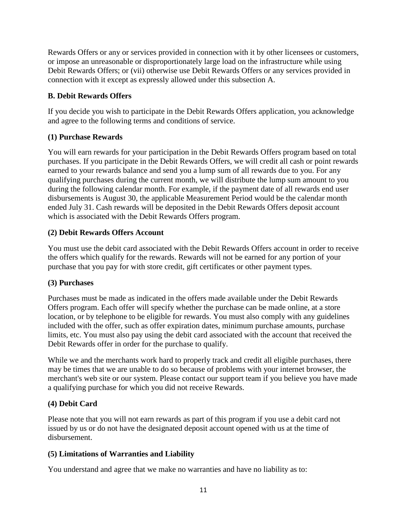Rewards Offers or any or services provided in connection with it by other licensees or customers, or impose an unreasonable or disproportionately large load on the infrastructure while using Debit Rewards Offers; or (vii) otherwise use Debit Rewards Offers or any services provided in connection with it except as expressly allowed under this subsection A.

## **B. Debit Rewards Offers**

If you decide you wish to participate in the Debit Rewards Offers application, you acknowledge and agree to the following terms and conditions of service.

# **(1) Purchase Rewards**

You will earn rewards for your participation in the Debit Rewards Offers program based on total purchases. If you participate in the Debit Rewards Offers, we will credit all cash or point rewards earned to your rewards balance and send you a lump sum of all rewards due to you. For any qualifying purchases during the current month, we will distribute the lump sum amount to you during the following calendar month. For example, if the payment date of all rewards end user disbursements is August 30, the applicable Measurement Period would be the calendar month ended July 31. Cash rewards will be deposited in the Debit Rewards Offers deposit account which is associated with the Debit Rewards Offers program.

## **(2) Debit Rewards Offers Account**

You must use the debit card associated with the Debit Rewards Offers account in order to receive the offers which qualify for the rewards. Rewards will not be earned for any portion of your purchase that you pay for with store credit, gift certificates or other payment types.

### **(3) Purchases**

Purchases must be made as indicated in the offers made available under the Debit Rewards Offers program. Each offer will specify whether the purchase can be made online, at a store location, or by telephone to be eligible for rewards. You must also comply with any guidelines included with the offer, such as offer expiration dates, minimum purchase amounts, purchase limits, etc. You must also pay using the debit card associated with the account that received the Debit Rewards offer in order for the purchase to qualify.

While we and the merchants work hard to properly track and credit all eligible purchases, there may be times that we are unable to do so because of problems with your internet browser, the merchant's web site or our system. Please contact our support team if you believe you have made a qualifying purchase for which you did not receive Rewards.

# **(4) Debit Card**

Please note that you will not earn rewards as part of this program if you use a debit card not issued by us or do not have the designated deposit account opened with us at the time of disbursement.

# **(5) Limitations of Warranties and Liability**

You understand and agree that we make no warranties and have no liability as to: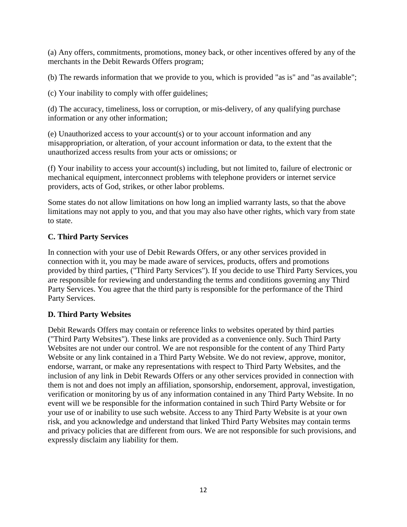(a) Any offers, commitments, promotions, money back, or other incentives offered by any of the merchants in the Debit Rewards Offers program;

(b) The rewards information that we provide to you, which is provided "as is" and "as available";

(c) Your inability to comply with offer guidelines;

(d) The accuracy, timeliness, loss or corruption, or mis-delivery, of any qualifying purchase information or any other information;

(e) Unauthorized access to your account(s) or to your account information and any misappropriation, or alteration, of your account information or data, to the extent that the unauthorized access results from your acts or omissions; or

(f) Your inability to access your account(s) including, but not limited to, failure of electronic or mechanical equipment, interconnect problems with telephone providers or internet service providers, acts of God, strikes, or other labor problems.

Some states do not allow limitations on how long an implied warranty lasts, so that the above limitations may not apply to you, and that you may also have other rights, which vary from state to state.

# **C. Third Party Services**

In connection with your use of Debit Rewards Offers, or any other services provided in connection with it, you may be made aware of services, products, offers and promotions provided by third parties, ("Third Party Services"). If you decide to use Third Party Services, you are responsible for reviewing and understanding the terms and conditions governing any Third Party Services. You agree that the third party is responsible for the performance of the Third Party Services.

### **D. Third Party Websites**

Debit Rewards Offers may contain or reference links to websites operated by third parties ("Third Party Websites"). These links are provided as a convenience only. Such Third Party Websites are not under our control. We are not responsible for the content of any Third Party Website or any link contained in a Third Party Website. We do not review, approve, monitor, endorse, warrant, or make any representations with respect to Third Party Websites, and the inclusion of any link in Debit Rewards Offers or any other services provided in connection with them is not and does not imply an affiliation, sponsorship, endorsement, approval, investigation, verification or monitoring by us of any information contained in any Third Party Website. In no event will we be responsible for the information contained in such Third Party Website or for your use of or inability to use such website. Access to any Third Party Website is at your own risk, and you acknowledge and understand that linked Third Party Websites may contain terms and privacy policies that are different from ours. We are not responsible for such provisions, and expressly disclaim any liability for them.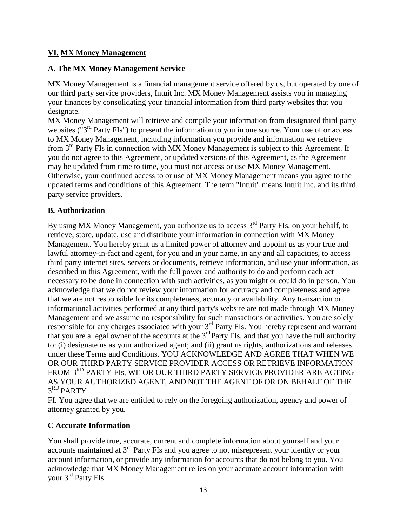## **VI. MX Money Management**

### **A. The MX Money Management Service**

MX Money Management is a financial management service offered by us, but operated by one of our third party service providers, Intuit Inc. MX Money Management assists you in managing your finances by consolidating your financial information from third party websites that you designate.

MX Money Management will retrieve and compile your information from designated third party websites ("3<sup>rd</sup> Party FIs") to present the information to you in one source. Your use of or access to MX Money Management, including information you provide and information we retrieve from 3rd Party FIs in connection with MX Money Management is subject to this Agreement. If you do not agree to this Agreement, or updated versions of this Agreement, as the Agreement may be updated from time to time, you must not access or use MX Money Management. Otherwise, your continued access to or use of MX Money Management means you agree to the updated terms and conditions of this Agreement. The term "Intuit" means Intuit Inc. and its third party service providers.

### **B. Authorization**

By using MX Money Management, you authorize us to access  $3<sup>rd</sup>$  Party FIs, on your behalf, to retrieve, store, update, use and distribute your information in connection with MX Money Management. You hereby grant us a limited power of attorney and appoint us as your true and lawful attorney-in-fact and agent, for you and in your name, in any and all capacities, to access third party internet sites, servers or documents, retrieve information, and use your information, as described in this Agreement, with the full power and authority to do and perform each act necessary to be done in connection with such activities, as you might or could do in person. You acknowledge that we do not review your information for accuracy and completeness and agree that we are not responsible for its completeness, accuracy or availability. Any transaction or informational activities performed at any third party's website are not made through MX Money Management and we assume no responsibility for such transactions or activities. You are solely responsible for any charges associated with your 3<sup>rd</sup> Party FIs. You hereby represent and warrant that you are a legal owner of the accounts at the  $3<sup>rd</sup>$  Party FIs, and that you have the full authority to: (i) designate us as your authorized agent; and (ii) grant us rights, authorizations and releases under these Terms and Conditions. YOU ACKNOWLEDGE AND AGREE THAT WHEN WE OR OUR THIRD PARTY SERVICE PROVIDER ACCESS OR RETRIEVE INFORMATION FROM 3<sup>RD</sup> PARTY FIs, WE OR OUR THIRD PARTY SERVICE PROVIDER ARE ACTING AS YOUR AUTHORIZED AGENT, AND NOT THE AGENT OF OR ON BEHALF OF THE 3RD PARTY

FI. You agree that we are entitled to rely on the foregoing authorization, agency and power of attorney granted by you.

### **C Accurate Information**

You shall provide true, accurate, current and complete information about yourself and your accounts maintained at 3rd Party FIs and you agree to not misrepresent your identity or your account information, or provide any information for accounts that do not belong to you. You acknowledge that MX Money Management relies on your accurate account information with your 3rd Party FIs.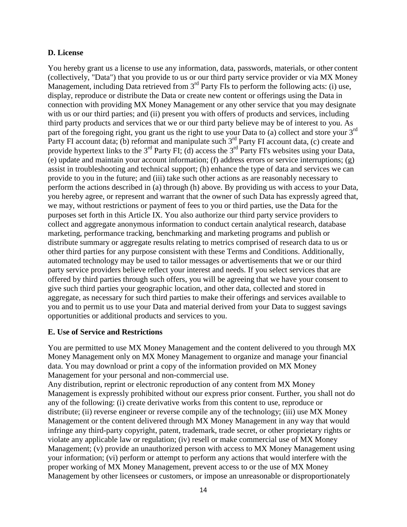#### **D. License**

You hereby grant us a license to use any information, data, passwords, materials, or other content (collectively, "Data") that you provide to us or our third party service provider or via MX Money Management, including Data retrieved from  $3<sup>rd</sup>$  Party FIs to perform the following acts: (i) use, display, reproduce or distribute the Data or create new content or offerings using the Data in connection with providing MX Money Management or any other service that you may designate with us or our third parties; and (ii) present you with offers of products and services, including third party products and services that we or our third party believe may be of interest to you. As part of the foregoing right, you grant us the right to use your Data to (a) collect and store your 3<sup>rd</sup> Party FI account data; (b) reformat and manipulate such 3<sup>rd</sup> Party FI account data, (c) create and provide hypertext links to the  $3<sup>rd</sup>$  Party FI; (d) access the  $3<sup>rd</sup>$  Party FI's websites using your Data, (e) update and maintain your account information; (f) address errors or service interruptions; (g) assist in troubleshooting and technical support; (h) enhance the type of data and services we can provide to you in the future; and (iii) take such other actions as are reasonably necessary to perform the actions described in (a) through (h) above. By providing us with access to your Data, you hereby agree, or represent and warrant that the owner of such Data has expressly agreed that, we may, without restrictions or payment of fees to you or third parties, use the Data for the purposes set forth in this Article IX. You also authorize our third party service providers to collect and aggregate anonymous information to conduct certain analytical research, database marketing, performance tracking, benchmarking and marketing programs and publish or distribute summary or aggregate results relating to metrics comprised of research data to us or other third parties for any purpose consistent with these Terms and Conditions. Additionally, automated technology may be used to tailor messages or advertisements that we or our third party service providers believe reflect your interest and needs. If you select services that are offered by third parties through such offers, you will be agreeing that we have your consent to give such third parties your geographic location, and other data, collected and stored in aggregate, as necessary for such third parties to make their offerings and services available to you and to permit us to use your Data and material derived from your Data to suggest savings opportunities or additional products and services to you.

#### **E. Use of Service and Restrictions**

You are permitted to use MX Money Management and the content delivered to you through MX Money Management only on MX Money Management to organize and manage your financial data. You may download or print a copy of the information provided on MX Money Management for your personal and non-commercial use.

Any distribution, reprint or electronic reproduction of any content from MX Money Management is expressly prohibited without our express prior consent. Further, you shall not do any of the following: (i) create derivative works from this content to use, reproduce or distribute; (ii) reverse engineer or reverse compile any of the technology; (iii) use MX Money Management or the content delivered through MX Money Management in any way that would infringe any third-party copyright, patent, trademark, trade secret, or other proprietary rights or violate any applicable law or regulation; (iv) resell or make commercial use of MX Money Management; (v) provide an unauthorized person with access to MX Money Management using your information; (vi) perform or attempt to perform any actions that would interfere with the proper working of MX Money Management, prevent access to or the use of MX Money Management by other licensees or customers, or impose an unreasonable or disproportionately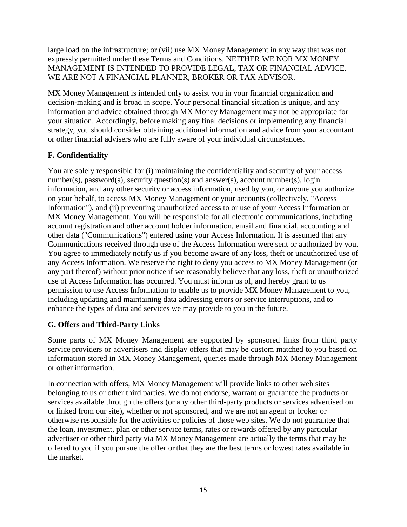large load on the infrastructure; or (vii) use MX Money Management in any way that was not expressly permitted under these Terms and Conditions. NEITHER WE NOR MX MONEY MANAGEMENT IS INTENDED TO PROVIDE LEGAL, TAX OR FINANCIAL ADVICE. WE ARE NOT A FINANCIAL PLANNER, BROKER OR TAX ADVISOR.

MX Money Management is intended only to assist you in your financial organization and decision-making and is broad in scope. Your personal financial situation is unique, and any information and advice obtained through MX Money Management may not be appropriate for your situation. Accordingly, before making any final decisions or implementing any financial strategy, you should consider obtaining additional information and advice from your accountant or other financial advisers who are fully aware of your individual circumstances.

# **F. Confidentiality**

You are solely responsible for (i) maintaining the confidentiality and security of your access number(s), password(s), security question(s) and answer(s), account number(s), login information, and any other security or access information, used by you, or anyone you authorize on your behalf, to access MX Money Management or your accounts (collectively, "Access Information"), and (ii) preventing unauthorized access to or use of your Access Information or MX Money Management. You will be responsible for all electronic communications, including account registration and other account holder information, email and financial, accounting and other data ("Communications") entered using your Access Information. It is assumed that any Communications received through use of the Access Information were sent or authorized by you. You agree to immediately notify us if you become aware of any loss, theft or unauthorized use of any Access Information. We reserve the right to deny you access to MX Money Management (or any part thereof) without prior notice if we reasonably believe that any loss, theft or unauthorized use of Access Information has occurred. You must inform us of, and hereby grant to us permission to use Access Information to enable us to provide MX Money Management to you, including updating and maintaining data addressing errors or service interruptions, and to enhance the types of data and services we may provide to you in the future.

### **G. Offers and Third-Party Links**

Some parts of MX Money Management are supported by sponsored links from third party service providers or advertisers and display offers that may be custom matched to you based on information stored in MX Money Management, queries made through MX Money Management or other information.

In connection with offers, MX Money Management will provide links to other web sites belonging to us or other third parties. We do not endorse, warrant or guarantee the products or services available through the offers (or any other third-party products or services advertised on or linked from our site), whether or not sponsored, and we are not an agent or broker or otherwise responsible for the activities or policies of those web sites. We do not guarantee that the loan, investment, plan or other service terms, rates or rewards offered by any particular advertiser or other third party via MX Money Management are actually the terms that may be offered to you if you pursue the offer orthat they are the best terms or lowest rates available in the market.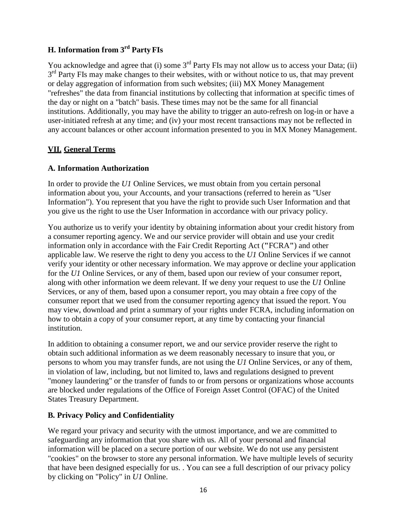# **H. Information from 3rd Party FIs**

You acknowledge and agree that (i) some  $3<sup>rd</sup>$  Party FIs may not allow us to access your Data; (ii)  $3<sup>rd</sup>$  Party FIs may make changes to their websites, with or without notice to us, that may prevent or delay aggregation of information from such websites; (iii) MX Money Management "refreshes" the data from financial institutions by collecting that information at specific times of the day or night on a "batch" basis. These times may not be the same for all financial institutions. Additionally, you may have the ability to trigger an auto-refresh on log-in or have a user-initiated refresh at any time; and (iv) your most recent transactions may not be reflected in any account balances or other account information presented to you in MX Money Management.

### **VII. General Terms**

### **A. Information Authorization**

In order to provide the *U1* Online Services, we must obtain from you certain personal information about you, your Accounts, and your transactions (referred to herein as "User Information"). You represent that you have the right to provide such User Information and that you give us the right to use the User Information in accordance with our privacy policy.

You authorize us to verify your identity by obtaining information about your credit history from a consumer reporting agency. We and our service provider will obtain and use your credit information only in accordance with the Fair Credit Reporting Act (**"**FCRA**"**) and other applicable law. We reserve the right to deny you access to the *U1* Online Services if we cannot verify your identity or other necessary information. We may approve or decline your application for the *U1* Online Services, or any of them, based upon our review of your consumer report, along with other information we deem relevant. If we deny your request to use the *U1* Online Services, or any of them, based upon a consumer report, you may obtain a free copy of the consumer report that we used from the consumer reporting agency that issued the report. You may view, download and print a summary of your rights under FCRA, including information on how to obtain a copy of your consumer report, at any time by contacting your financial institution.

In addition to obtaining a consumer report, we and our service provider reserve the right to obtain such additional information as we deem reasonably necessary to insure that you, or persons to whom you may transfer funds, are not using the *U1* Online Services, or any of them, in violation of law, including, but not limited to, laws and regulations designed to prevent "money laundering" or the transfer of funds to or from persons or organizations whose accounts are blocked under regulations of the Office of Foreign Asset Control (OFAC) of the United States Treasury Department.

### **B. Privacy Policy and Confidentiality**

We regard your privacy and security with the utmost importance, and we are committed to safeguarding any information that you share with us. All of your personal and financial information will be placed on a secure portion of our website. We do not use any persistent "cookies" on the browser to store any personal information. We have multiple levels of security that have been designed especially for us. . You can see a full description of our privacy policy by clicking on "Policy" in *U1* Online.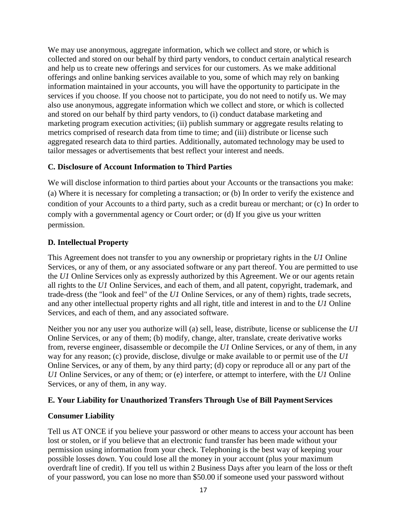We may use anonymous, aggregate information, which we collect and store, or which is collected and stored on our behalf by third party vendors, to conduct certain analytical research and help us to create new offerings and services for our customers. As we make additional offerings and online banking services available to you, some of which may rely on banking information maintained in your accounts, you will have the opportunity to participate in the services if you choose. If you choose not to participate, you do not need to notify us. We may also use anonymous, aggregate information which we collect and store, or which is collected and stored on our behalf by third party vendors, to (i) conduct database marketing and marketing program execution activities; (ii) publish summary or aggregate results relating to metrics comprised of research data from time to time; and (iii) distribute or license such aggregated research data to third parties. Additionally, automated technology may be used to tailor messages or advertisements that best reflect your interest and needs.

### **C. Disclosure of Account Information to Third Parties**

We will disclose information to third parties about your Accounts or the transactions you make: (a) Where it is necessary for completing a transaction; or (b) In order to verify the existence and condition of your Accounts to a third party, such as a credit bureau or merchant; or (c) In order to comply with a governmental agency or Court order; or (d) If you give us your written permission.

## **D. Intellectual Property**

This Agreement does not transfer to you any ownership or proprietary rights in the *U1* Online Services, or any of them, or any associated software or any part thereof. You are permitted to use the *U1* Online Services only as expressly authorized by this Agreement. We or our agents retain all rights to the *U1* Online Services, and each of them, and all patent, copyright, trademark, and trade-dress (the "look and feel" of the *U1* Online Services, or any of them) rights, trade secrets, and any other intellectual property rights and all right, title and interest in and to the *U1* Online Services, and each of them, and any associated software.

Neither you nor any user you authorize will (a) sell, lease, distribute, license or sublicense the *U1*  Online Services, or any of them; (b) modify, change, alter, translate, create derivative works from, reverse engineer, disassemble or decompile the *U1* Online Services, or any of them, in any way for any reason; (c) provide, disclose, divulge or make available to or permit use of the *U1*  Online Services, or any of them, by any third party; (d) copy or reproduce all or any part of the *U1* Online Services, or any of them; or (e) interfere, or attempt to interfere, with the *U1* Online Services, or any of them, in any way.

### **E. Your Liability for Unauthorized Transfers Through Use of Bill PaymentServices**

### **Consumer Liability**

Tell us AT ONCE if you believe your password or other means to access your account has been lost or stolen, or if you believe that an electronic fund transfer has been made without your permission using information from your check. Telephoning is the best way of keeping your possible losses down. You could lose all the money in your account (plus your maximum overdraft line of credit). If you tell us within 2 Business Days after you learn of the loss or theft of your password, you can lose no more than \$50.00 if someone used your password without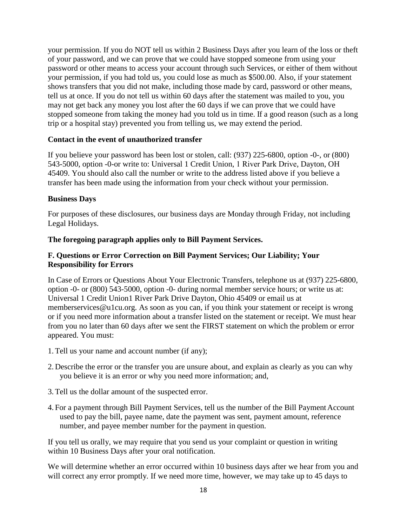your permission. If you do NOT tell us within 2 Business Days after you learn of the loss or theft of your password, and we can prove that we could have stopped someone from using your password or other means to access your account through such Services, or either of them without your permission, if you had told us, you could lose as much as \$500.00. Also, if your statement shows transfers that you did not make, including those made by card, password or other means, tell us at once. If you do not tell us within 60 days after the statement was mailed to you, you may not get back any money you lost after the 60 days if we can prove that we could have stopped someone from taking the money had you told us in time. If a good reason (such as a long trip or a hospital stay) prevented you from telling us, we may extend the period.

#### **Contact in the event of unauthorized transfer**

If you believe your password has been lost or stolen, call: (937) 225-6800, option -0-, or (800) 543-5000, option -0-or write to: Universal 1 Credit Union, 1 River Park Drive, Dayton, OH 45409. You should also call the number or write to the address listed above if you believe a transfer has been made using the information from your check without your permission.

#### **Business Days**

For purposes of these disclosures, our business days are Monday through Friday, not including Legal Holidays.

#### **The foregoing paragraph applies only to Bill Payment Services.**

#### **F. Questions or Error Correction on Bill Payment Services; Our Liability; Your Responsibility for Errors**

In Case of Errors or Questions About Your Electronic Transfers, telephone us at (937) 225-6800, option -0- or (800) 543-5000, option -0- during normal member service hours; or write us at: Universal 1 Credit Union1 River Park Drive Dayton, Ohio 45409 or email us a[t](mailto:memberservices@u1cu.org)  [memberservices@u1cu.org. A](mailto:memberservices@u1cu.org)s soon as you can, if you think your statement or receipt is wrong or if you need more information about a transfer listed on the statement or receipt. We must hear from you no later than 60 days after we sent the FIRST statement on which the problem or error appeared. You must:

- 1.Tell us your name and account number (if any);
- 2. Describe the error or the transfer you are unsure about, and explain as clearly as you can why you believe it is an error or why you need more information; and,
- 3.Tell us the dollar amount of the suspected error.
- 4. For a payment through Bill Payment Services, tell us the number of the Bill Payment Account used to pay the bill, payee name, date the payment was sent, payment amount, reference number, and payee member number for the payment in question.

If you tell us orally, we may require that you send us your complaint or question in writing within 10 Business Days after your oral notification.

We will determine whether an error occurred within 10 business days after we hear from you and will correct any error promptly. If we need more time, however, we may take up to 45 days to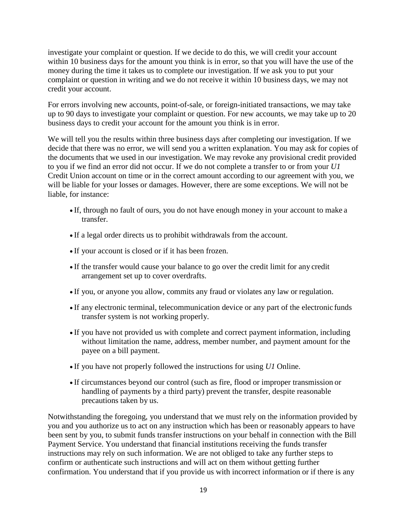investigate your complaint or question. If we decide to do this, we will credit your account within 10 business days for the amount you think is in error, so that you will have the use of the money during the time it takes us to complete our investigation. If we ask you to put your complaint or question in writing and we do not receive it within 10 business days, we may not credit your account.

For errors involving new accounts, point-of-sale, or foreign-initiated transactions, we may take up to 90 days to investigate your complaint or question. For new accounts, we may take up to 20 business days to credit your account for the amount you think is in error.

We will tell you the results within three business days after completing our investigation. If we decide that there was no error, we will send you a written explanation. You may ask for copies of the documents that we used in our investigation. We may revoke any provisional credit provided to you if we find an error did not occur. If we do not complete a transfer to or from your *U1*  Credit Union account on time or in the correct amount according to our agreement with you, we will be liable for your losses or damages. However, there are some exceptions. We will not be liable, for instance:

- If, through no fault of ours, you do not have enough money in your account to make a transfer.
- If a legal order directs us to prohibit withdrawals from the account.
- If your account is closed or if it has been frozen.
- If the transfer would cause your balance to go over the credit limit for any credit arrangement set up to cover overdrafts.
- If you, or anyone you allow, commits any fraud or violates any law or regulation.
- If any electronic terminal, telecommunication device or any part of the electronic funds transfer system is not working properly.
- If you have not provided us with complete and correct payment information, including without limitation the name, address, member number, and payment amount for the payee on a bill payment.
- If you have not properly followed the instructions for using *U1* Online.
- If circumstances beyond our control (such as fire, flood or improper transmission or handling of payments by a third party) prevent the transfer, despite reasonable precautions taken by us.

Notwithstanding the foregoing, you understand that we must rely on the information provided by you and you authorize us to act on any instruction which has been or reasonably appears to have been sent by you, to submit funds transfer instructions on your behalf in connection with the Bill Payment Service. You understand that financial institutions receiving the funds transfer instructions may rely on such information. We are not obliged to take any further steps to confirm or authenticate such instructions and will act on them without getting further confirmation. You understand that if you provide us with incorrect information or if there is any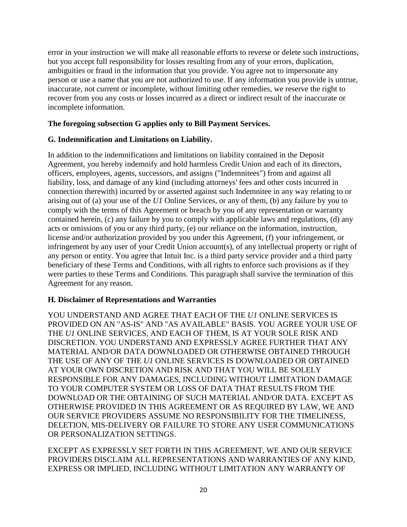error in your instruction we will make all reasonable efforts to reverse or delete such instructions, but you accept full responsibility for losses resulting from any of your errors, duplication, ambiguities or fraud in the information that you provide. You agree not to impersonate any person or use a name that you are not authorized to use. If any information you provide is untrue, inaccurate, not current or incomplete, without limiting other remedies, we reserve the right to recover from you any costs or losses incurred as a direct or indirect result of the inaccurate or incomplete information.

### **The foregoing subsection G applies only to Bill Payment Services.**

### **G. Indemnification and Limitations on Liability.**

In addition to the indemnifications and limitations on liability contained in the Deposit Agreement, you hereby indemnify and hold harmless Credit Union and each of its directors, officers, employees, agents, successors, and assigns ("Indemnitees") from and against all liability, loss, and damage of any kind (including attorneys' fees and other costs incurred in connection therewith) incurred by or asserted against such Indemnitee in any way relating to or arising out of (a) your use of the *U1* Online Services, or any of them, (b) any failure by you to comply with the terms of this Agreement or breach by you of any representation or warranty contained herein, (c) any failure by you to comply with applicable laws and regulations, (d) any acts or omissions of you or any third party, (e) our reliance on the information, instruction, license and/or authorization provided by you under this Agreement, (f) your infringement, or infringement by any user of your Credit Union account(s), of any intellectual property or right of any person or entity. You agree that Intuit Inc. is a third party service provider and a third party beneficiary of these Terms and Conditions, with all rights to enforce such provisions as if they were parties to these Terms and Conditions. This paragraph shall survive the termination of this Agreement for any reason.

### **H. Disclaimer of Representations and Warranties**

YOU UNDERSTAND AND AGREE THAT EACH OF THE *U1* ONLINE SERVICES IS PROVIDED ON AN "AS-IS" AND "AS AVAILABLE" BASIS. YOU AGREE YOUR USE OF THE *U1* ONLINE SERVICES, AND EACH OF THEM, IS AT YOUR SOLE RISK AND DISCRETION. YOU UNDERSTAND AND EXPRESSLY AGREE FURTHER THAT ANY MATERIAL AND/OR DATA DOWNLOADED OR OTHERWISE OBTAINED THROUGH THE USE OF ANY OF THE *U1* ONLINE SERVICES IS DOWNLOADED OR OBTAINED AT YOUR OWN DISCRETION AND RISK AND THAT YOU WILL BE SOLELY RESPONSIBLE FOR ANY DAMAGES, INCLUDING WITHOUT LIMITATION DAMAGE TO YOUR COMPUTER SYSTEM OR LOSS OF DATA THAT RESULTS FROM THE DOWNLOAD OR THE OBTAINING OF SUCH MATERIAL AND/OR DATA. EXCEPT AS OTHERWISE PROVIDED IN THIS AGREEMENT OR AS REQUIRED BY LAW, WE AND OUR SERVICE PROVIDERS ASSUME NO RESPONSIBILITY FOR THE TIMELINESS, DELETION, MIS-DELIVERY OR FAILURE TO STORE ANY USER COMMUNICATIONS OR PERSONALIZATION SETTINGS.

EXCEPT AS EXPRESSLY SET FORTH IN THIS AGREEMENT, WE AND OUR SERVICE PROVIDERS DISCLAIM ALL REPRESENTATIONS AND WARRANTIES OF ANY KIND, EXPRESS OR IMPLIED, INCLUDING WITHOUT LIMITATION ANY WARRANTY OF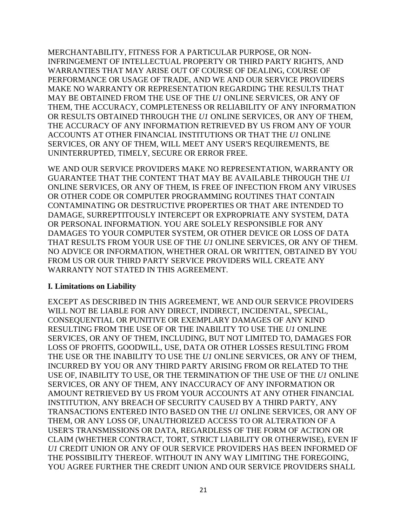MERCHANTABILITY, FITNESS FOR A PARTICULAR PURPOSE, OR NON-INFRINGEMENT OF INTELLECTUAL PROPERTY OR THIRD PARTY RIGHTS, AND WARRANTIES THAT MAY ARISE OUT OF COURSE OF DEALING, COURSE OF PERFORMANCE OR USAGE OF TRADE, AND WE AND OUR SERVICE PROVIDERS MAKE NO WARRANTY OR REPRESENTATION REGARDING THE RESULTS THAT MAY BE OBTAINED FROM THE USE OF THE *U1* ONLINE SERVICES, OR ANY OF THEM, THE ACCURACY, COMPLETENESS OR RELIABILITY OF ANY INFORMATION OR RESULTS OBTAINED THROUGH THE *U1* ONLINE SERVICES, OR ANY OF THEM, THE ACCURACY OF ANY INFORMATION RETRIEVED BY US FROM ANY OF YOUR ACCOUNTS AT OTHER FINANCIAL INSTITUTIONS OR THAT THE *U1* ONLINE SERVICES, OR ANY OF THEM, WILL MEET ANY USER'S REQUIREMENTS, BE UNINTERRUPTED, TIMELY, SECURE OR ERROR FREE.

WE AND OUR SERVICE PROVIDERS MAKE NO REPRESENTATION, WARRANTY OR GUARANTEE THAT THE CONTENT THAT MAY BE AVAILABLE THROUGH THE *U1*  ONLINE SERVICES, OR ANY OF THEM, IS FREE OF INFECTION FROM ANY VIRUSES OR OTHER CODE OR COMPUTER PROGRAMMING ROUTINES THAT CONTAIN CONTAMINATING OR DESTRUCTIVE PROPERTIES OR THAT ARE INTENDED TO DAMAGE, SURREPTITOUSLY INTERCEPT OR EXPROPRIATE ANY SYSTEM, DATA OR PERSONAL INFORMATION. YOU ARE SOLELY RESPONSIBLE FOR ANY DAMAGES TO YOUR COMPUTER SYSTEM, OR OTHER DEVICE OR LOSS OF DATA THAT RESULTS FROM YOUR USE OF THE *U1* ONLINE SERVICES, OR ANY OF THEM. NO ADVICE OR INFORMATION, WHETHER ORAL OR WRITTEN, OBTAINED BY YOU FROM US OR OUR THIRD PARTY SERVICE PROVIDERS WILL CREATE ANY WARRANTY NOT STATED IN THIS AGREEMENT.

#### **I. Limitations on Liability**

EXCEPT AS DESCRIBED IN THIS AGREEMENT, WE AND OUR SERVICE PROVIDERS WILL NOT BE LIABLE FOR ANY DIRECT, INDIRECT, INCIDENTAL, SPECIAL, CONSEQUENTIAL OR PUNITIVE OR EXEMPLARY DAMAGES OF ANY KIND RESULTING FROM THE USE OF OR THE INABILITY TO USE THE *U1* ONLINE SERVICES, OR ANY OF THEM, INCLUDING, BUT NOT LIMITED TO, DAMAGES FOR LOSS OF PROFITS, GOODWILL, USE, DATA OR OTHER LOSSES RESULTING FROM THE USE OR THE INABILITY TO USE THE *U1* ONLINE SERVICES, OR ANY OF THEM, INCURRED BY YOU OR ANY THIRD PARTY ARISING FROM OR RELATED TO THE USE OF, INABILITY TO USE, OR THE TERMINATION OF THE USE OF THE *U1* ONLINE SERVICES, OR ANY OF THEM, ANY INACCURACY OF ANY INFORMATION OR AMOUNT RETRIEVED BY US FROM YOUR ACCOUNTS AT ANY OTHER FINANCIAL INSTITUTION, ANY BREACH OF SECURITY CAUSED BY A THIRD PARTY, ANY TRANSACTIONS ENTERED INTO BASED ON THE *U1* ONLINE SERVICES, OR ANY OF THEM, OR ANY LOSS OF, UNAUTHORIZED ACCESS TO OR ALTERATION OF A USER'S TRANSMISSIONS OR DATA, REGARDLESS OF THE FORM OF ACTION OR CLAIM (WHETHER CONTRACT, TORT, STRICT LIABILITY OR OTHERWISE), EVEN IF *U1* CREDIT UNION OR ANY OF OUR SERVICE PROVIDERS HAS BEEN INFORMED OF THE POSSIBILITY THEREOF. WITHOUT IN ANY WAY LIMITING THE FOREGOING, YOU AGREE FURTHER THE CREDIT UNION AND OUR SERVICE PROVIDERS SHALL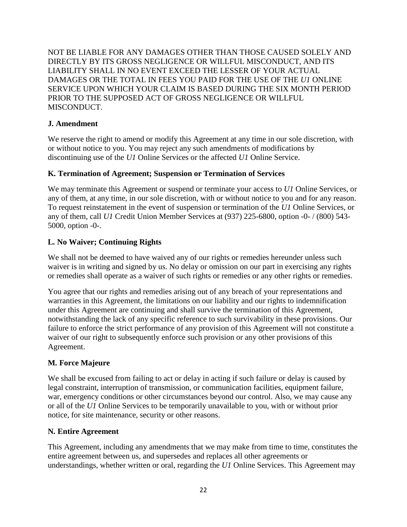NOT BE LIABLE FOR ANY DAMAGES OTHER THAN THOSE CAUSED SOLELY AND DIRECTLY BY ITS GROSS NEGLIGENCE OR WILLFUL MISCONDUCT, AND ITS LIABILITY SHALL IN NO EVENT EXCEED THE LESSER OF YOUR ACTUAL DAMAGES OR THE TOTAL IN FEES YOU PAID FOR THE USE OF THE *U1* ONLINE SERVICE UPON WHICH YOUR CLAIM IS BASED DURING THE SIX MONTH PERIOD PRIOR TO THE SUPPOSED ACT OF GROSS NEGLIGENCE OR WILLFUL MISCONDUCT.

## **J. Amendment**

We reserve the right to amend or modify this Agreement at any time in our sole discretion, with or without notice to you. You may reject any such amendments of modifications by discontinuing use of the *U1* Online Services or the affected *U1* Online Service.

## **K. Termination of Agreement; Suspension or Termination of Services**

We may terminate this Agreement or suspend or terminate your access to *U1* Online Services, or any of them, at any time, in our sole discretion, with or without notice to you and for any reason. To request reinstatement in the event of suspension or termination of the *U1* Online Services, or any of them, call *U1* Credit Union Member Services at (937) 225-6800, option -0- / (800) 543- 5000, option -0-.

# **L. No Waiver; Continuing Rights**

We shall not be deemed to have waived any of our rights or remedies hereunder unless such waiver is in writing and signed by us. No delay or omission on our part in exercising any rights or remedies shall operate as a waiver of such rights or remedies or any other rights or remedies.

You agree that our rights and remedies arising out of any breach of your representations and warranties in this Agreement, the limitations on our liability and our rights to indemnification under this Agreement are continuing and shall survive the termination of this Agreement, notwithstanding the lack of any specific reference to such survivability in these provisions. Our failure to enforce the strict performance of any provision of this Agreement will not constitute a waiver of our right to subsequently enforce such provision or any other provisions of this Agreement.

### **M. Force Majeure**

We shall be excused from failing to act or delay in acting if such failure or delay is caused by legal constraint, interruption of transmission, or communication facilities, equipment failure, war, emergency conditions or other circumstances beyond our control. Also, we may cause any or all of the *U1* Online Services to be temporarily unavailable to you, with or without prior notice, for site maintenance, security or other reasons.

### **N. Entire Agreement**

This Agreement, including any amendments that we may make from time to time, constitutes the entire agreement between us, and supersedes and replaces all other agreements or understandings, whether written or oral, regarding the *U1* Online Services. This Agreement may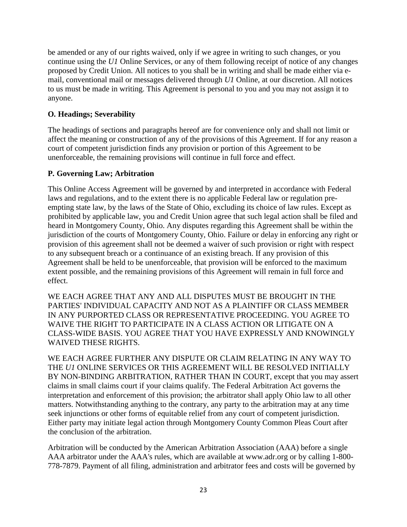be amended or any of our rights waived, only if we agree in writing to such changes, or you continue using the *U1* Online Services, or any of them following receipt of notice of any changes proposed by Credit Union. All notices to you shall be in writing and shall be made either via email, conventional mail or messages delivered through *U1* Online, at our discretion. All notices to us must be made in writing. This Agreement is personal to you and you may not assign it to anyone.

### **O. Headings; Severability**

The headings of sections and paragraphs hereof are for convenience only and shall not limit or affect the meaning or construction of any of the provisions of this Agreement. If for any reason a court of competent jurisdiction finds any provision or portion of this Agreement to be unenforceable, the remaining provisions will continue in full force and effect.

### **P. Governing Law; Arbitration**

This Online Access Agreement will be governed by and interpreted in accordance with Federal laws and regulations, and to the extent there is no applicable Federal law or regulation preempting state law, by the laws of the State of Ohio, excluding its choice of law rules. Except as prohibited by applicable law, you and Credit Union agree that such legal action shall be filed and heard in Montgomery County, Ohio. Any disputes regarding this Agreement shall be within the jurisdiction of the courts of Montgomery County, Ohio. Failure or delay in enforcing any right or provision of this agreement shall not be deemed a waiver of such provision or right with respect to any subsequent breach or a continuance of an existing breach. If any provision of this Agreement shall be held to be unenforceable, that provision will be enforced to the maximum extent possible, and the remaining provisions of this Agreement will remain in full force and effect.

WE EACH AGREE THAT ANY AND ALL DISPUTES MUST BE BROUGHT IN THE PARTIES' INDIVIDUAL CAPACITY AND NOT AS A PLAINTIFF OR CLASS MEMBER IN ANY PURPORTED CLASS OR REPRESENTATIVE PROCEEDING. YOU AGREE TO WAIVE THE RIGHT TO PARTICIPATE IN A CLASS ACTION OR LITIGATE ON A CLASS-WIDE BASIS. YOU AGREE THAT YOU HAVE EXPRESSLY AND KNOWINGLY WAIVED THESE RIGHTS.

WE EACH AGREE FURTHER ANY DISPUTE OR CLAIM RELATING IN ANY WAY TO THE *U1* ONLINE SERVICES OR THIS AGREEMENT WILL BE RESOLVED INITIALLY BY NON-BINDING ARBITRATION, RATHER THAN IN COURT, except that you may assert claims in small claims court if your claims qualify. The Federal Arbitration Act governs the interpretation and enforcement of this provision; the arbitrator shall apply Ohio law to all other matters. Notwithstanding anything to the contrary, any party to the arbitration may at any time seek injunctions or other forms of equitable relief from any court of competent jurisdiction. Either party may initiate legal action through Montgomery County Common Pleas Court after the conclusion of the arbitration.

Arbitration will be conducted by the American Arbitration Association (AAA) before a single AAA arbitrator under the AAA's rules, which are available at [www.adr.org](http://www.adr.org/) or by calling 1-800- 778-7879. Payment of all filing, administration and arbitrator fees and costs will be governed by